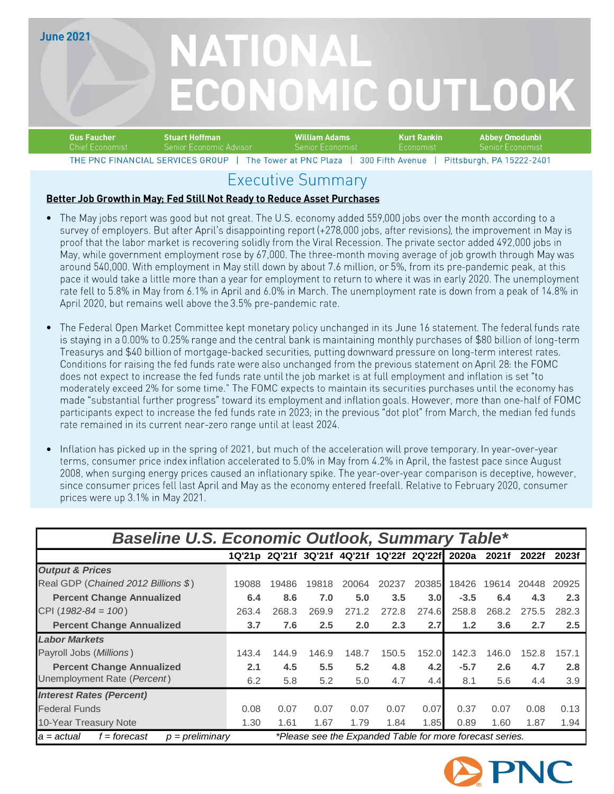**June 2021** 

# NATIONAL ECONOMIC OUTLOOK

| <b>Gus Faucher</b><br>'Stuart Hoffman |                          | William Adams           | Kurt Rankin      | ' Abbev Omodunbi .             |
|---------------------------------------|--------------------------|-------------------------|------------------|--------------------------------|
| Chief Economist                       | -Senior Economic Advisor | Senior Economist        | <b>Economist</b> | Senior Economist               |
| THE DNC FINANCIAL SERVICES GROUP      |                          | The Tower at $DMPD1222$ | 300 Fifth Avenue | $Diffchurah$ $DA$ $15222.2101$ |

### **Executive Summary**

### Better Job Growth in May; Fed Still Not Ready to Reduce Asset Purchases

- The May jobs report was good but not great. The U.S. economy added 559,000 jobs over the month according to a survey of employers. But after April's disappointing report (+278,000 jobs, after revisions), the improvement in May is proof that the labor market is recovering solidly from the Viral Recession. The private sector added 492,000 jobs in May, while government employment rose by 67,000. The three-month moving average of job growth through May was around 540,000. With employment in May still down by about 7.6 million, or 5%, from its pre-pandemic peak, at this pace it would take a little more than a year for employment to return to where it was in early 2020. The unemployment rate fell to 5.8% in May from 6.1% in April and 6.0% in March. The unemployment rate is down from a peak of 14.8% in April 2020, but remains well above the 3.5% pre-pandemic rate.
- •<br>•<br>•<br>• The Federal Open Market Committee kept monetary policy unchanged in its June 16 statement. The federal funds rate is staying in a 0.00% to 0.25% range and the central bank is maintaining monthly purchases of \$80 billion of long-term Treasurys and \$40 billion of mortgage-backed securities, putting downward pressure on long-term interest rates. Conditions for raising the fed funds rate were also unchanged from the previous statement on April 28: the FOMC does not expect to increase the fed funds rate until the job market is at full employment and inflation is set "to moderately exceed 2% for some time." The FOMC expects to maintain its securities purchases until the economy has made "substantial further progress" toward its employment and inflation goals. However, more than one-half of FOMC participants expect to increase the fed funds rate in 2023; in the previous "dot plot" from March, the median fed funds rate remained in its current near-zero range until at least 2024.
- Inflation has picked up in the spring of 2021, but much of the acceleration will prove temporary. In year-over-year terms, consumer price index inflation accelerated to 5.0% in May from 4.2% in April, the fastest pace since August 2008, when surging energy prices caused an inflationary spike. The year-over-year comparison is deceptive, however, since consumer prices fell last April and May as the economy entered freefall. Relative to February 2020, consumer prices were up 3.1% in May 2021.

| <b>Baseline U.S. Economic Outlook, Summary Table*</b>                                                          |       |       |       |                                                 |       |       |        |       |       |       |
|----------------------------------------------------------------------------------------------------------------|-------|-------|-------|-------------------------------------------------|-------|-------|--------|-------|-------|-------|
|                                                                                                                |       |       |       | 1Q'21p 2Q'21f 3Q'21f 4Q'21f 1Q'22f 2Q'22f 2020a |       |       |        | 2021f | 2022f | 2023f |
| <b>Output &amp; Prices</b>                                                                                     |       |       |       |                                                 |       |       |        |       |       |       |
| Real GDP (Chained 2012 Billions \$)                                                                            | 19088 | 19486 | 19818 | 20064                                           | 20237 | 20385 | 18426  | 19614 | 20448 | 20925 |
| <b>Percent Change Annualized</b>                                                                               | 6.4   | 8.6   | 7.0   | 5.0                                             | 3.5   | 3.0   | $-3.5$ | 6.4   | 4.3   | 2.3   |
| CPI ( $1982 - 84 = 100$ )                                                                                      | 263.4 | 268.3 | 269.9 | 271.2                                           | 272.8 | 274.6 | 258.8  | 268.2 | 275.5 | 282.3 |
| <b>Percent Change Annualized</b>                                                                               | 3.7   | 7.6   | 2.5   | 2.0                                             | 2.3   | 2.7   | 1.2    | 3.6   | 2.7   | 2.5   |
| <b>Labor Markets</b>                                                                                           |       |       |       |                                                 |       |       |        |       |       |       |
| Payroll Jobs (Millions)                                                                                        | 143.4 | 144.9 | 146.9 | 148.7                                           | 150.5 | 152.0 | 142.3  | 146.0 | 152.8 | 157.1 |
| <b>Percent Change Annualized</b>                                                                               | 2.1   | 4.5   | 5.5   | 5.2                                             | 4.8   | 4.2   | $-5.7$ | 2.6   | 4.7   | 2.8   |
| Unemployment Rate (Percent)                                                                                    | 6.2   | 5.8   | 5.2   | 5.0                                             | 4.7   | 4.4   | 8.1    | 5.6   | 4.4   | 3.9   |
| <b>Interest Rates (Percent)</b>                                                                                |       |       |       |                                                 |       |       |        |       |       |       |
| <b>Federal Funds</b>                                                                                           | 0.08  | 0.07  | 0.07  | 0.07                                            | 0.07  | 0.07  | 0.37   | 0.07  | 0.08  | 0.13  |
| 10-Year Treasury Note                                                                                          | 1.30  | 1.61  | 1.67  | 1.79                                            | 1.84  | 1.85  | 0.89   | 1.60  | 1.87  | 1.94  |
| *Please see the Expanded Table for more forecast series.<br>$f =$ forecast<br>$p = preliminary$<br>la = actual |       |       |       |                                                 |       |       |        |       |       |       |

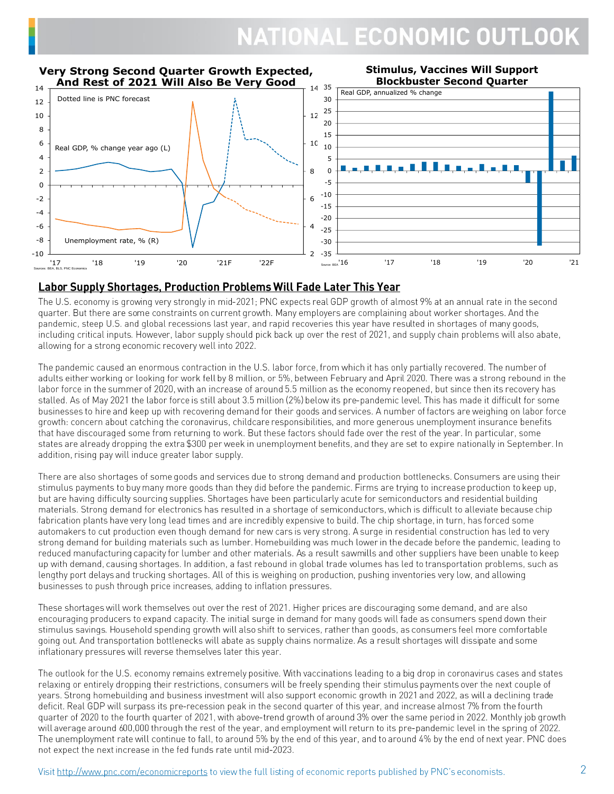

#### Labor Supply Shortages, Production Problems Will Fade Later This Year

The U.S. economy is growing very strongly in mid-2021; PNC expects real GDP growth of almost 9% at an annual rate in the second quarter. But there are some constraints on current growth. Many employers are complaining about worker shortages. And the pandemic, steep U.S. and global recessions last year, and rapid recoveries this year have resulted in shortages of many goods, including critical inputs. However, labor supply should pick back up over the rest of 2021, and supply chain problems will also abate, allowing for a strong economic recovery well into 2022.

The pandemic caused an enormous contraction in the U.S. labor force, from which it has only partially recovered. The number of adults either working or looking for work fell by 8 million, or 5%, between February and April 2020. There was a strong rebound in the labor force in the summer of 2020, with an increase of around 5.5 million as the economy reopened, but since then its recovery has stalled. As of May 2021 the labor force is still about 3.5 million (2%) below its pre-pandemic level. This has made it difficult for some businesses to hire and keep up with recovering demand for their goods and services. A number of factors are weighing on labor force growth: concern about catching the coronavirus, childcare responsibilities, and more generous unemployment insurance benefits that have discouraged some from returning to work. But these factors should fade over the rest of the year. In particular, some states are already dropping the extra \$300 per week in unemployment benefits, and they are set to expire nationally in September. In addition, rising pay will induce greater labor supply.

There are also shortages of some goods and services due to strong demand and production bottlenecks. Consumers are using their stimulus payments to buy many more goods than they did before the pandemic. Firms are trying to increase production to keep up, but are having difficulty sourcing supplies. Shortages have been particularly acute for semiconductors and residential building materials. Strong demand for electronics has resulted in a shortage of semiconductors, which is difficult to alleviate because chip fabrication plants have very long lead times and are incredibly expensive to build. The chip shortage, in turn, has forced some automakers to cut production even though demand for new cars is very strong. A surge in residential construction has led to very strong demand for building materials such as lumber. Homebuilding was much lower in the decade before the pandemic, leading to reduced manufacturing capacity for lumber and other materials. As a result sawmills and other suppliers have been unable to keep up with demand, causing shortages. In addition, a fast rebound in global trade volumes has led to transportation problems, such as lengthy port delays and trucking shortages. All of this is weighing on production, pushing inventories very low, and allowing businesses to push through price increases, adding to inflation pressures.

These shortages will work themselves out over the rest of 2021. Higher prices are discouraging some demand, and are also encouraging producers to expand capacity. The initial surge in demand for many goods will fade as consumers spend down their stimulus savings. Household spending growth will also shift to services, rather than goods, as consumers feel more comfortable going out. And transportation bottlenecks will abate as supply chains normalize. As a result shortages will dissipate and some inflationary pressures will reverse themselves later this year.

The outlook for the U.S. economy remains extremely positive. With vaccinations leading to a big drop in coronavirus cases and states relaxing or entirely dropping their restrictions, consumers will be freely spending their stimulus payments over the next couple of years. Strong homebuilding and business investment will also support economic growth in 2021 and 2022, as will a declining trade deficit. Real GDP will surpass its pre-recession peak in the second quarter of this year, and increase almost 7% from the fourth quarter of 2020 to the fourth quarter of 2021, with above-trend growth of around 3% over the same period in 2022. Monthly job growth will average around 600,000 through the rest of the year, and employment will return to its pre-pandemic level in the spring of 2022. The unemployment rate will continue to fall, to around 5% by the end of this year, and to around 4% by the end of next year. PNC does not expect the next increase in the fed funds rate until mid-2023.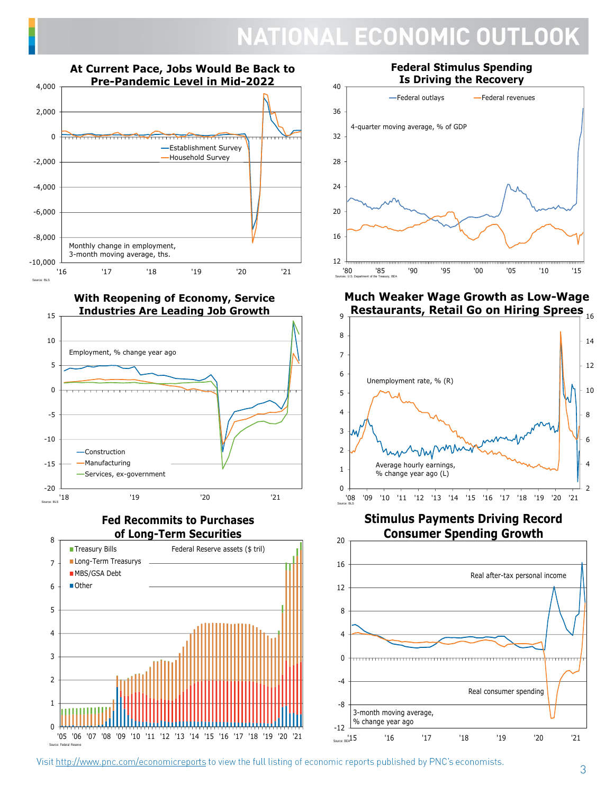

**With Reopening of Economy, Service Industries Are Leading Job Growth**



**Fed Recommits to Purchases of Long-Term Securities**



Source: Federal Reserve

**Federal Stimulus Spending Is Driving the Recovery**



**Much Weaker Wage Growth as Low-Wage** 



**Stimulus Payments Driving Record Consumer Spending Growth**



Visit http://www.pnc.com/economicreports to view the full listing of economic reports published by PNC's economists.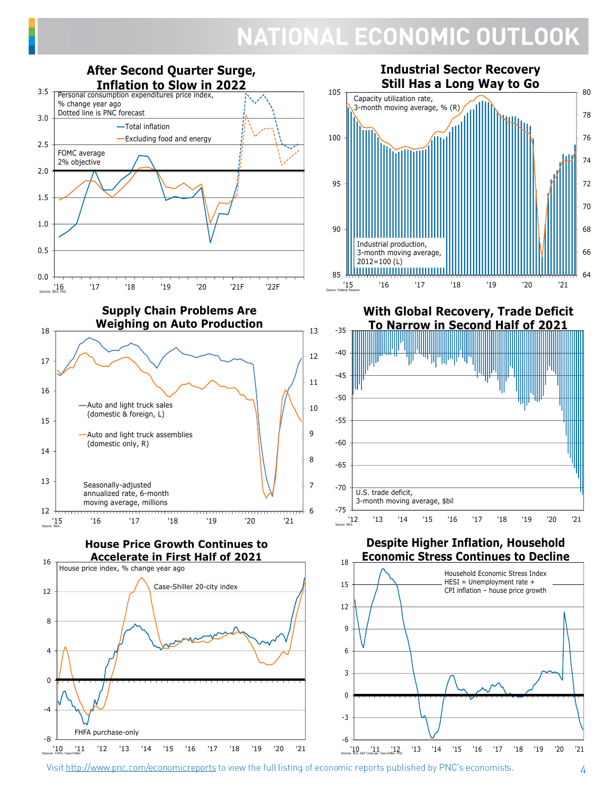

Visit http://www.pnc.com/economicreports to view the full listing of economic reports published by PNC's economists.